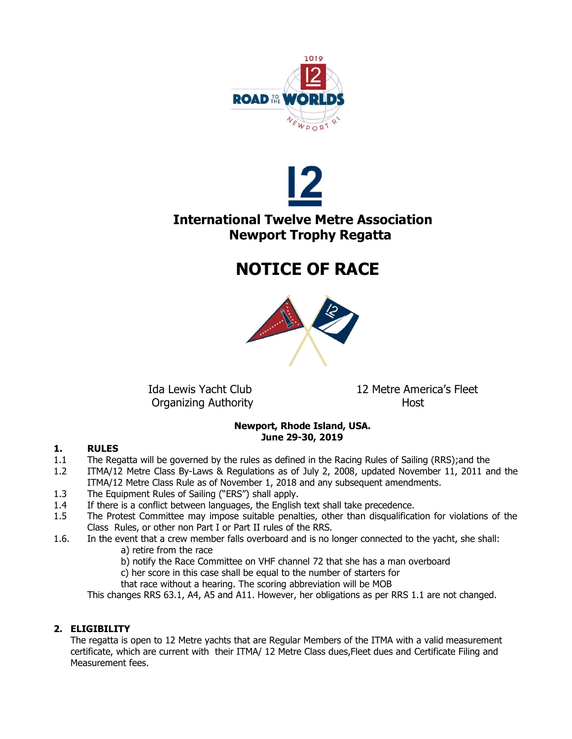

# 12  **International Twelve Metre Association Newport Trophy Regatta**

## **NOTICE OF RACE**



Organizing Authority **Host** 

Ida Lewis Yacht Club 12 Metre America's Fleet

#### **Newport, Rhode Island, USA. June 29-30, 2019**

#### **1. RULES**

- 1.1 The Regatta will be governed by the rules as defined in the Racing Rules of Sailing (RRS);and the
- 1.2 ITMA/12 Metre Class By-Laws & Regulations as of July 2, 2008, updated November 11, 2011 and the ITMA/12 Metre Class Rule as of November 1, 2018 and any subsequent amendments.
- 1.3 The Equipment Rules of Sailing ("ERS") shall apply.
- 1.4 If there is a conflict between languages, the English text shall take precedence.
- 1.5 The Protest Committee may impose suitable penalties, other than disqualification for violations of the Class Rules, or other non Part I or Part II rules of the RRS.
- 1.6. In the event that a crew member falls overboard and is no longer connected to the yacht, she shall: a) retire from the race
	- b) notify the Race Committee on VHF channel 72 that she has a man overboard
	- c) her score in this case shall be equal to the number of starters for
	- that race without a hearing. The scoring abbreviation will be MOB

This changes RRS 63.1, A4, A5 and A11. However, her obligations as per RRS 1.1 are not changed.

### **2. ELIGIBILITY**

The regatta is open to 12 Metre yachts that are Regular Members of the ITMA with a valid measurement certificate, which are current with their ITMA/ 12 Metre Class dues,Fleet dues and Certificate Filing and Measurement fees.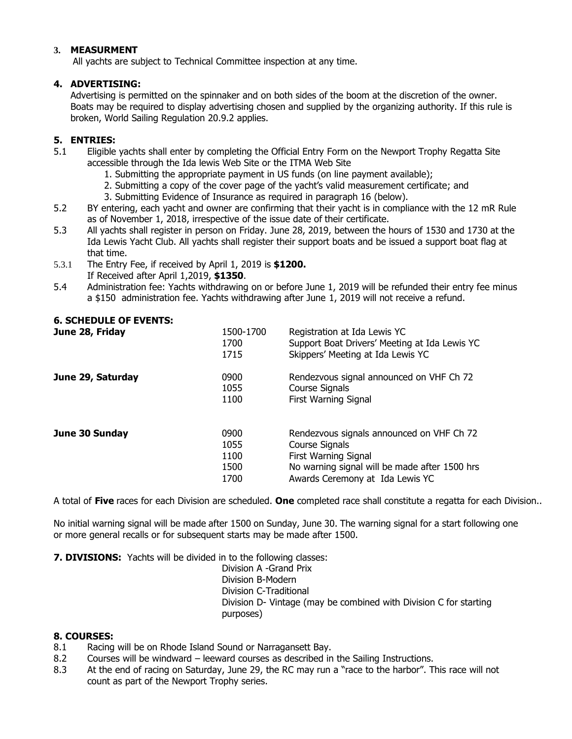#### **3. MEASURMENT**

All yachts are subject to Technical Committee inspection at any time.

#### **4. ADVERTISING:**

Advertising is permitted on the spinnaker and on both sides of the boom at the discretion of the owner. Boats may be required to display advertising chosen and supplied by the organizing authority. If this rule is broken, World Sailing Regulation 20.9.2 applies.

#### **5. ENTRIES:**

- 5.1 Eligible yachts shall enter by completing the Official Entry Form on the Newport Trophy Regatta Site accessible through the Ida lewis Web Site or the ITMA Web Site
	- 1. Submitting the appropriate payment in US funds (on line payment available);
	- 2. Submitting a copy of the cover page of the yacht's valid measurement certificate; and
	- 3. Submitting Evidence of Insurance as required in paragraph 16 (below).
- 5.2 BY entering, each yacht and owner are confirming that their yacht is in compliance with the 12 mR Rule as of November 1, 2018, irrespective of the issue date of their certificate.
- 5.3 All yachts shall register in person on Friday. June 28, 2019, between the hours of 1530 and 1730 at the Ida Lewis Yacht Club. All yachts shall register their support boats and be issued a support boat flag at that time.
- 5.3.1 The Entry Fee, if received by April 1, 2019 is **\$1200.**
- If Received after April 1,2019, **\$1350**.
- 5.4 Administration fee: Yachts withdrawing on or before June 1, 2019 will be refunded their entry fee minus a \$150 administration fee. Yachts withdrawing after June 1, 2019 will not receive a refund.

#### **6. SCHEDULE OF EVENTS:**

| June 28, Friday   | 1500-1700<br>1700<br>1715            | Registration at Ida Lewis YC<br>Support Boat Drivers' Meeting at Ida Lewis YC<br>Skippers' Meeting at Ida Lewis YC                                                      |
|-------------------|--------------------------------------|-------------------------------------------------------------------------------------------------------------------------------------------------------------------------|
| June 29, Saturday | 0900<br>1055<br>1100                 | Rendezvous signal announced on VHF Ch 72<br>Course Signals<br>First Warning Signal                                                                                      |
| June 30 Sunday    | 0900<br>1055<br>1100<br>1500<br>1700 | Rendezvous signals announced on VHF Ch 72<br>Course Signals<br>First Warning Signal<br>No warning signal will be made after 1500 hrs<br>Awards Ceremony at Ida Lewis YC |

A total of **Five** races for each Division are scheduled. **One** completed race shall constitute a regatta for each Division..

No initial warning signal will be made after 1500 on Sunday, June 30. The warning signal for a start following one or more general recalls or for subsequent starts may be made after 1500.

**7. DIVISIONS:** Yachts will be divided in to the following classes:

Division A -Grand Prix Division B-Modern Division C-Traditional Division D- Vintage (may be combined with Division C for starting purposes)

#### **8. COURSES:**

- 8.1 Racing will be on Rhode Island Sound or Narragansett Bay.
- 8.2 Courses will be windward leeward courses as described in the Sailing Instructions.
- 8.3 At the end of racing on Saturday, June 29, the RC may run a "race to the harbor". This race will not count as part of the Newport Trophy series.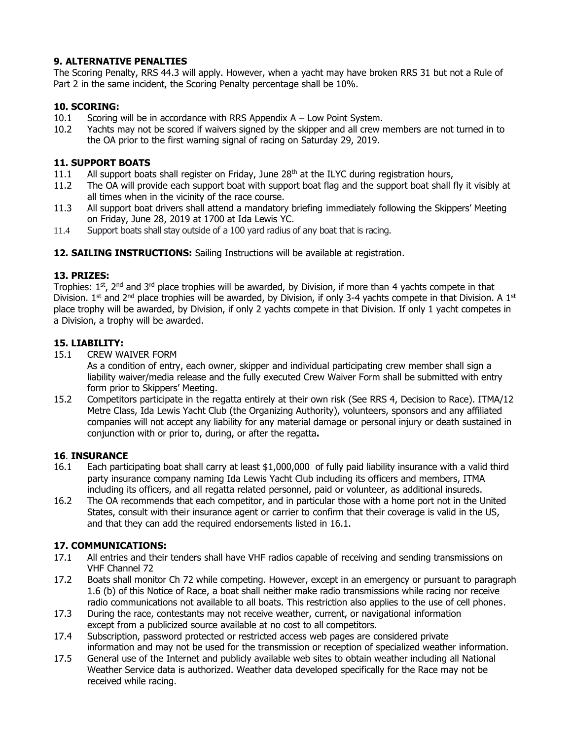#### **9. ALTERNATIVE PENALTIES**

The Scoring Penalty, RRS 44.3 will apply. However, when a yacht may have broken RRS 31 but not a Rule of Part 2 in the same incident, the Scoring Penalty percentage shall be 10%.

#### **10. SCORING:**

- 10.1 Scoring will be in accordance with RRS Appendix A Low Point System.
- 10.2 Yachts may not be scored if waivers signed by the skipper and all crew members are not turned in to the OA prior to the first warning signal of racing on Saturday 29, 2019.

#### **11. SUPPORT BOATS**

- 11.1 All support boats shall register on Friday, June 28<sup>th</sup> at the ILYC during registration hours,
- 11.2 The OA will provide each support boat with support boat flag and the support boat shall fly it visibly at all times when in the vicinity of the race course.
- 11.3 All support boat drivers shall attend a mandatory briefing immediately following the Skippers' Meeting on Friday, June 28, 2019 at 1700 at Ida Lewis YC.
- 11.4 Support boats shall stay outside of a 100 yard radius of any boat that is racing.

**12. SAILING INSTRUCTIONS:** Sailing Instructions will be available at registration.

#### **13. PRIZES:**

Trophies: 1<sup>st</sup>, 2<sup>nd</sup> and 3<sup>rd</sup> place trophies will be awarded, by Division, if more than 4 yachts compete in that Division.  $1^{st}$  and  $2^{nd}$  place trophies will be awarded, by Division, if only 3-4 yachts compete in that Division. A  $1^{st}$ place trophy will be awarded, by Division, if only 2 yachts compete in that Division. If only 1 yacht competes in a Division, a trophy will be awarded.

#### **15. LIABILITY:**

15.1 CREW WAIVER FORM

As a condition of entry, each owner, skipper and individual participating crew member shall sign a liability waiver/media release and the fully executed Crew Waiver Form shall be submitted with entry form prior to Skippers' Meeting.

15.2 Competitors participate in the regatta entirely at their own risk (See RRS 4, Decision to Race). ITMA/12 Metre Class, Ida Lewis Yacht Club (the Organizing Authority), volunteers, sponsors and any affiliated companies will not accept any liability for any material damage or personal injury or death sustained in conjunction with or prior to, during, or after the regatta**.**

#### **16**. **INSURANCE**

- 16.1 Each participating boat shall carry at least \$1,000,000 of fully paid liability insurance with a valid third party insurance company naming Ida Lewis Yacht Club including its officers and members, ITMA including its officers, and all regatta related personnel, paid or volunteer, as additional insureds.
- 16.2 The OA recommends that each competitor, and in particular those with a home port not in the United States, consult with their insurance agent or carrier to confirm that their coverage is valid in the US, and that they can add the required endorsements listed in 16.1.

#### **17. COMMUNICATIONS:**

- 17.1 All entries and their tenders shall have VHF radios capable of receiving and sending transmissions on VHF Channel 72
- 17.2 Boats shall monitor Ch 72 while competing. However, except in an emergency or pursuant to paragraph 1.6 (b) of this Notice of Race, a boat shall neither make radio transmissions while racing nor receive radio communications not available to all boats. This restriction also applies to the use of cell phones.
- 17.3 During the race, contestants may not receive weather, current, or navigational information except from a publicized source available at no cost to all competitors.
- 17.4 Subscription, password protected or restricted access web pages are considered private information and may not be used for the transmission or reception of specialized weather information.
- 17.5 General use of the Internet and publicly available web sites to obtain weather including all National Weather Service data is authorized. Weather data developed specifically for the Race may not be received while racing.